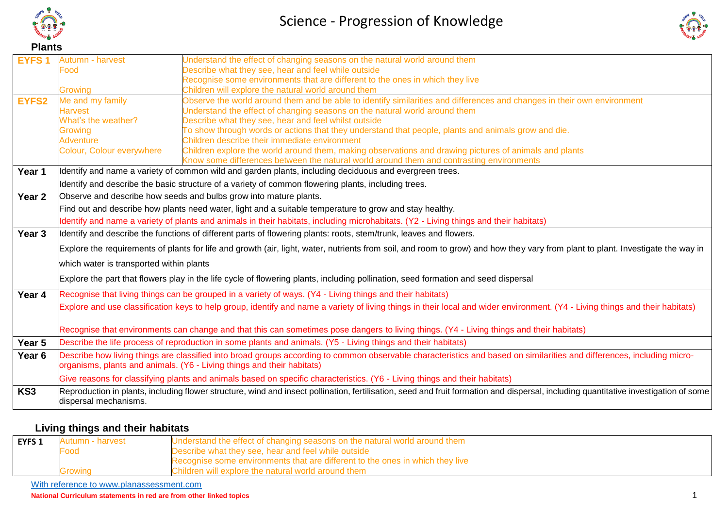

**EYFS 1** Autumn - harvest



#### Food Growing Describe what they see, hear and feel while outside Recognise some environments that are different to the ones in which they live Children will explore the natural world around them **EYFS2** Me and my family Harvest What's the weather? **Growing Adventure** Colour, Colour everywhere Observe the world around them and be able to identify similarities and differences and changes in their own environment Understand the effect of changing seasons on the natural world around them Describe what they see, hear and feel whilst outside To show through words or actions that they understand that people, plants and animals grow and die. Children describe their immediate environment Children explore the world around them, making observations and drawing pictures of animals and plants Know some differences between the natural world around them and contrasting environments **Year 1 I**Identify and name a variety of common wild and garden plants, including deciduous and evergreen trees. Identify and describe the basic structure of a variety of common flowering plants, including trees. **Year 2** Observe and describe how seeds and bulbs grow into mature plants. Find out and describe how plants need water, light and a suitable temperature to grow and stay healthy. Identify and name a variety of plants and animals in their habitats, including microhabitats. (Y2 - Living things and their habitats) Year 3 **I**Identify and describe the functions of different parts of flowering plants: roots, stem/trunk, leaves and flowers. Explore the requirements of plants for life and growth (air, light, water, nutrients from soil, and room to grow) and how they vary from plant to plant. Investigate the way in which water is transported within plants Explore the part that flowers play in the life cycle of flowering plants, including pollination, seed formation and seed dispersal **Year 4** Recognise that living things can be grouped in a variety of ways. (Y4 - Living things and their habitats) Explore and use classification keys to help group, identify and name a variety of living things in their local and wider environment. (Y4 - Living things and their habitats) Recognise that environments can change and that this can sometimes pose dangers to living things. (Y4 - Living things and their habitats) **Year 5** Describe the life process of reproduction in some plants and animals. (Y5 - Living things and their habitats) Year 6 **Describe how living things are classified into broad groups according to common observable characteristics and based on similarities and differences, including micro**organisms, plants and animals. (Y6 - Living things and their habitats) Give reasons for classifying plants and animals based on specific characteristics. (Y6 - Living things and their habitats) **KS3** Reproduction in plants, including flower structure, wind and insect pollination, fertilisation, seed and fruit formation and dispersal, including quantitative investigation of some dispersal mechanisms.

Understand the effect of changing seasons on the natural world around them

#### **Living things and their habitats**

| Autumn - harvest<br><b>EYFS 1</b><br>Food |             | Understand the effect of changing seasons on the natural world around them<br>Describe what they see, hear and feel while outside                   |
|-------------------------------------------|-------------|-----------------------------------------------------------------------------------------------------------------------------------------------------|
|                                           | – rowing، ب | Recognise some environments that are different to the ones in which they live<br>Children will explore the natural world around them $\overline{a}$ |

With reference to www.planassessment.com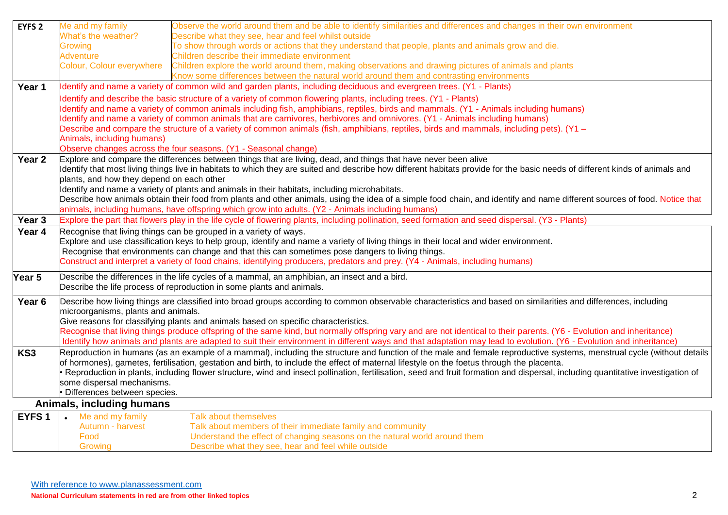| EYFS <sub>2</sub> | Me and my family                                                                                                                      | Observe the world around them and be able to identify similarities and differences and changes in their own environment                                                            |  |
|-------------------|---------------------------------------------------------------------------------------------------------------------------------------|------------------------------------------------------------------------------------------------------------------------------------------------------------------------------------|--|
|                   | What's the weather?                                                                                                                   | Describe what they see, hear and feel whilst outside                                                                                                                               |  |
|                   | Growing                                                                                                                               | To show through words or actions that they understand that people, plants and animals grow and die.                                                                                |  |
|                   | <b>Adventure</b>                                                                                                                      | Children describe their immediate environment                                                                                                                                      |  |
|                   | Colour, Colour everywhere                                                                                                             | Children explore the world around them, making observations and drawing pictures of animals and plants                                                                             |  |
|                   |                                                                                                                                       | Know some differences between the natural world around them and contrasting environments                                                                                           |  |
| Year 1            |                                                                                                                                       | Identify and name a variety of common wild and garden plants, including deciduous and evergreen trees. (Y1 - Plants)                                                               |  |
|                   |                                                                                                                                       | Identify and describe the basic structure of a variety of common flowering plants, including trees. (Y1 - Plants)                                                                  |  |
|                   |                                                                                                                                       | Identify and name a variety of common animals including fish, amphibians, reptiles, birds and mammals. (Y1 - Animals including humans)                                             |  |
|                   |                                                                                                                                       | Identify and name a variety of common animals that are carnivores, herbivores and omnivores. (Y1 - Animals including humans)                                                       |  |
|                   |                                                                                                                                       | Describe and compare the structure of a variety of common animals (fish, amphibians, reptiles, birds and mammals, including pets). (Y1 -                                           |  |
|                   | Animals, including humans)                                                                                                            |                                                                                                                                                                                    |  |
|                   |                                                                                                                                       | Observe changes across the four seasons. (Y1 - Seasonal change)<br>Explore and compare the differences between things that are living, dead, and things that have never been alive |  |
| Year 2            |                                                                                                                                       | Identify that most living things live in habitats to which they are suited and describe how different habitats provide for the basic needs of different kinds of animals and       |  |
|                   | plants, and how they depend on each other                                                                                             |                                                                                                                                                                                    |  |
|                   |                                                                                                                                       | Identify and name a variety of plants and animals in their habitats, including microhabitats.                                                                                      |  |
|                   |                                                                                                                                       | Describe how animals obtain their food from plants and other animals, using the idea of a simple food chain, and identify and name different sources of food. Notice that          |  |
|                   |                                                                                                                                       | animals, including humans, have offspring which grow into adults. (Y2 - Animals including humans)                                                                                  |  |
| Year 3            |                                                                                                                                       | Explore the part that flowers play in the life cycle of flowering plants, including pollination, seed formation and seed dispersal. (Y3 - Plants)                                  |  |
| Year 4            |                                                                                                                                       | Recognise that living things can be grouped in a variety of ways.                                                                                                                  |  |
|                   | Explore and use classification keys to help group, identify and name a variety of living things in their local and wider environment. |                                                                                                                                                                                    |  |
|                   |                                                                                                                                       | Recognise that environments can change and that this can sometimes pose dangers to living things.                                                                                  |  |
|                   |                                                                                                                                       | Construct and interpret a variety of food chains, identifying producers, predators and prey. (Y4 - Animals, including humans)                                                      |  |
| Year 5            |                                                                                                                                       | Describe the differences in the life cycles of a mammal, an amphibian, an insect and a bird.                                                                                       |  |
|                   |                                                                                                                                       | Describe the life process of reproduction in some plants and animals.                                                                                                              |  |
| Year 6            |                                                                                                                                       | Describe how living things are classified into broad groups according to common observable characteristics and based on similarities and differences, including                    |  |
|                   | microorganisms, plants and animals.                                                                                                   |                                                                                                                                                                                    |  |
|                   |                                                                                                                                       | Give reasons for classifying plants and animals based on specific characteristics.                                                                                                 |  |
|                   |                                                                                                                                       | Recognise that living things produce offspring of the same kind, but normally offspring vary and are not identical to their parents. (Y6 - Evolution and inheritance)              |  |
|                   |                                                                                                                                       | Identify how animals and plants are adapted to suit their environment in different ways and that adaptation may lead to evolution. (Y6 - Evolution and inheritance)                |  |
| KS3               |                                                                                                                                       | Reproduction in humans (as an example of a mammal), including the structure and function of the male and female reproductive systems, menstrual cycle (without details             |  |
|                   |                                                                                                                                       | of hormones), gametes, fertilisation, gestation and birth, to include the effect of maternal lifestyle on the foetus through the placenta.                                         |  |
|                   |                                                                                                                                       | Reproduction in plants, including flower structure, wind and insect pollination, fertilisation, seed and fruit formation and dispersal, including quantitative investigation of    |  |
|                   | some dispersal mechanisms.<br>· Differences between species.                                                                          |                                                                                                                                                                                    |  |
|                   |                                                                                                                                       |                                                                                                                                                                                    |  |
|                   | Animals, including humans                                                                                                             |                                                                                                                                                                                    |  |
| EYFS <sub>1</sub> | Me and my family<br>$\bullet$<br>Autumn - harvest                                                                                     | <b>Talk about themselves</b>                                                                                                                                                       |  |
|                   | Food                                                                                                                                  | Talk about members of their immediate family and community<br>Jnderstand the effect of changing seasons on the natural world around them                                           |  |
|                   | Growing                                                                                                                               | Describe what they see, hear and feel while outside                                                                                                                                |  |
|                   |                                                                                                                                       |                                                                                                                                                                                    |  |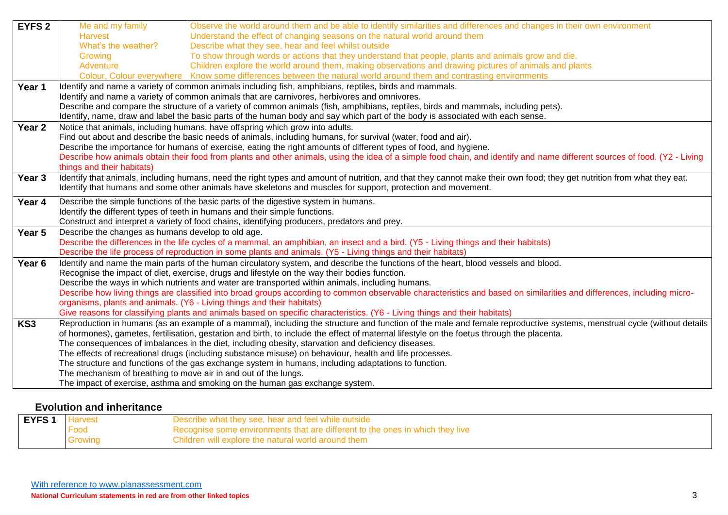| <b>EYFS 2</b>     | Me and my family                                                                                                                     | Observe the world around them and be able to identify similarities and differences and changes in their own environment                                                    |  |
|-------------------|--------------------------------------------------------------------------------------------------------------------------------------|----------------------------------------------------------------------------------------------------------------------------------------------------------------------------|--|
|                   | <b>Harvest</b>                                                                                                                       | Understand the effect of changing seasons on the natural world around them                                                                                                 |  |
|                   | What's the weather?                                                                                                                  | Describe what they see, hear and feel whilst outside                                                                                                                       |  |
|                   | Growing                                                                                                                              | To show through words or actions that they understand that people, plants and animals grow and die.                                                                        |  |
|                   | Adventure                                                                                                                            | Children explore the world around them, making observations and drawing pictures of animals and plants                                                                     |  |
|                   |                                                                                                                                      | Colour, Colour everywhere Know some differences between the natural world around them and contrasting environments                                                         |  |
| Year 1            |                                                                                                                                      | Identify and name a variety of common animals including fish, amphibians, reptiles, birds and mammals.                                                                     |  |
|                   |                                                                                                                                      | Identify and name a variety of common animals that are carnivores, herbivores and omnivores.                                                                               |  |
|                   |                                                                                                                                      | Describe and compare the structure of a variety of common animals (fish, amphibians, reptiles, birds and mammals, including pets).                                         |  |
|                   |                                                                                                                                      | Identify, name, draw and label the basic parts of the human body and say which part of the body is associated with each sense.                                             |  |
| Year 2            |                                                                                                                                      | Notice that animals, including humans, have offspring which grow into adults.                                                                                              |  |
|                   |                                                                                                                                      | Find out about and describe the basic needs of animals, including humans, for survival (water, food and air).                                                              |  |
|                   |                                                                                                                                      | Describe the importance for humans of exercise, eating the right amounts of different types of food, and hygiene.                                                          |  |
|                   |                                                                                                                                      | Describe how animals obtain their food from plants and other animals, using the idea of a simple food chain, and identify and name different sources of food. (Y2 - Living |  |
|                   | things and their habitats)                                                                                                           |                                                                                                                                                                            |  |
| Year 3            |                                                                                                                                      | Identify that animals, including humans, need the right types and amount of nutrition, and that they cannot make their own food; they get nutrition from what they eat.    |  |
|                   |                                                                                                                                      | Identify that humans and some other animals have skeletons and muscles for support, protection and movement.                                                               |  |
| Year 4            |                                                                                                                                      | Describe the simple functions of the basic parts of the digestive system in humans.                                                                                        |  |
|                   | Identify the different types of teeth in humans and their simple functions.                                                          |                                                                                                                                                                            |  |
|                   | Construct and interpret a variety of food chains, identifying producers, predators and prey.                                         |                                                                                                                                                                            |  |
| Year 5            | Describe the changes as humans develop to old age.                                                                                   |                                                                                                                                                                            |  |
|                   | Describe the differences in the life cycles of a mammal, an amphibian, an insect and a bird. (Y5 - Living things and their habitats) |                                                                                                                                                                            |  |
|                   |                                                                                                                                      | Describe the life process of reproduction in some plants and animals. (Y5 - Living things and their habitats)                                                              |  |
| Year <sub>6</sub> |                                                                                                                                      | Identify and name the main parts of the human circulatory system, and describe the functions of the heart, blood vessels and blood.                                        |  |
|                   |                                                                                                                                      | Recognise the impact of diet, exercise, drugs and lifestyle on the way their bodies function.                                                                              |  |
|                   | Describe the ways in which nutrients and water are transported within animals, including humans.                                     |                                                                                                                                                                            |  |
|                   |                                                                                                                                      | Describe how living things are classified into broad groups according to common observable characteristics and based on similarities and differences, including micro-     |  |
|                   |                                                                                                                                      | organisms, plants and animals. (Y6 - Living things and their habitats)                                                                                                     |  |
|                   |                                                                                                                                      | Give reasons for classifying plants and animals based on specific characteristics. (Y6 - Living things and their habitats)                                                 |  |
| KS3               |                                                                                                                                      | Reproduction in humans (as an example of a mammal), including the structure and function of the male and female reproductive systems, menstrual cycle (without details     |  |
|                   |                                                                                                                                      | of hormones), gametes, fertilisation, gestation and birth, to include the effect of maternal lifestyle on the foetus through the placenta.                                 |  |
|                   |                                                                                                                                      | The consequences of imbalances in the diet, including obesity, starvation and deficiency diseases.                                                                         |  |
|                   |                                                                                                                                      | The effects of recreational drugs (including substance misuse) on behaviour, health and life processes.                                                                    |  |
|                   |                                                                                                                                      | The structure and functions of the gas exchange system in humans, including adaptations to function.                                                                       |  |
|                   | The mechanism of breathing to move air in and out of the lungs.                                                                      |                                                                                                                                                                            |  |
|                   |                                                                                                                                      | The impact of exercise, asthma and smoking on the human gas exchange system.                                                                                               |  |

## **Evolution and inheritance**

| Iarvest                                                                               | escribe what they see, hear and feel while outside  |  |
|---------------------------------------------------------------------------------------|-----------------------------------------------------|--|
| Food<br>Recognise some environments that are different to the ones in which they live |                                                     |  |
| Growing                                                                               | Children will explore the natural world around them |  |
|                                                                                       |                                                     |  |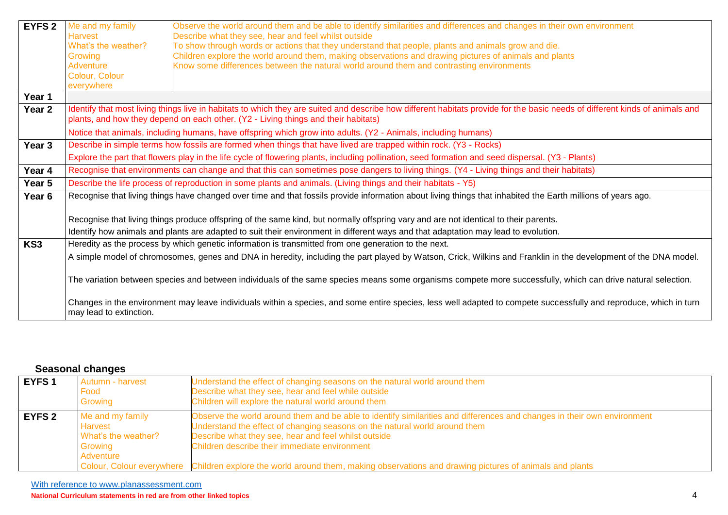| <b>EYFS 2</b>     | Me and my family                                                                                                                          | Observe the world around them and be able to identify similarities and differences and changes in their own environment                                                                                                                                            |  |
|-------------------|-------------------------------------------------------------------------------------------------------------------------------------------|--------------------------------------------------------------------------------------------------------------------------------------------------------------------------------------------------------------------------------------------------------------------|--|
|                   | <b>Harvest</b>                                                                                                                            | Describe what they see, hear and feel whilst outside                                                                                                                                                                                                               |  |
|                   | What's the weather?                                                                                                                       | To show through words or actions that they understand that people, plants and animals grow and die.                                                                                                                                                                |  |
|                   | Growing                                                                                                                                   | Children explore the world around them, making observations and drawing pictures of animals and plants                                                                                                                                                             |  |
|                   | Adventure                                                                                                                                 | Know some differences between the natural world around them and contrasting environments                                                                                                                                                                           |  |
|                   | Colour, Colour                                                                                                                            |                                                                                                                                                                                                                                                                    |  |
|                   | everywhere                                                                                                                                |                                                                                                                                                                                                                                                                    |  |
| Year 1            |                                                                                                                                           |                                                                                                                                                                                                                                                                    |  |
| Year <sub>2</sub> |                                                                                                                                           | Identify that most living things live in habitats to which they are suited and describe how different habitats provide for the basic needs of different kinds of animals and<br>plants, and how they depend on each other. (Y2 - Living things and their habitats) |  |
|                   |                                                                                                                                           | Notice that animals, including humans, have offspring which grow into adults. (Y2 - Animals, including humans)                                                                                                                                                     |  |
| Year 3            |                                                                                                                                           | Describe in simple terms how fossils are formed when things that have lived are trapped within rock. (Y3 - Rocks)                                                                                                                                                  |  |
|                   |                                                                                                                                           | Explore the part that flowers play in the life cycle of flowering plants, including pollination, seed formation and seed dispersal. (Y3 - Plants)                                                                                                                  |  |
| Year 4            | Recognise that environments can change and that this can sometimes pose dangers to living things. (Y4 - Living things and their habitats) |                                                                                                                                                                                                                                                                    |  |
| Year 5            |                                                                                                                                           | Describe the life process of reproduction in some plants and animals. (Living things and their habitats - Y5)                                                                                                                                                      |  |
| Year <sub>6</sub> |                                                                                                                                           | Recognise that living things have changed over time and that fossils provide information about living things that inhabited the Earth millions of years ago.                                                                                                       |  |
|                   |                                                                                                                                           |                                                                                                                                                                                                                                                                    |  |
|                   |                                                                                                                                           | Recognise that living things produce offspring of the same kind, but normally offspring vary and are not identical to their parents.                                                                                                                               |  |
|                   |                                                                                                                                           | Identify how animals and plants are adapted to suit their environment in different ways and that adaptation may lead to evolution.                                                                                                                                 |  |
| KS3               |                                                                                                                                           | Heredity as the process by which genetic information is transmitted from one generation to the next.                                                                                                                                                               |  |
|                   |                                                                                                                                           | A simple model of chromosomes, genes and DNA in heredity, including the part played by Watson, Crick, Wilkins and Franklin in the development of the DNA model.                                                                                                    |  |
|                   |                                                                                                                                           |                                                                                                                                                                                                                                                                    |  |
|                   |                                                                                                                                           | The variation between species and between individuals of the same species means some organisms compete more successfully, which can drive natural selection.                                                                                                       |  |
|                   | may lead to extinction.                                                                                                                   | Changes in the environment may leave individuals within a species, and some entire species, less well adapted to compete successfully and reproduce, which in turn                                                                                                 |  |

#### **Seasonal changes**

| EYFS 1 | Autumn - harvest<br>Food<br>Growing                                        | Understand the effect of changing seasons on the natural world around them<br>Describe what they see, hear and feel while outside<br>Children will explore the natural world around them                                                                                                                                                                                                                                                           |
|--------|----------------------------------------------------------------------------|----------------------------------------------------------------------------------------------------------------------------------------------------------------------------------------------------------------------------------------------------------------------------------------------------------------------------------------------------------------------------------------------------------------------------------------------------|
| EYFS 2 | Me and my family<br>Harvest<br>What's the weather?<br>Growing<br>Adventure | Observe the world around them and be able to identify similarities and differences and changes in their own environment<br>Understand the effect of changing seasons on the natural world around them<br>Describe what they see, hear and feel whilst outside<br>Children describe their immediate environment<br>Colour, Colour everywhere Children explore the world around them, making observations and drawing pictures of animals and plants |

With reference to www.planassessment.com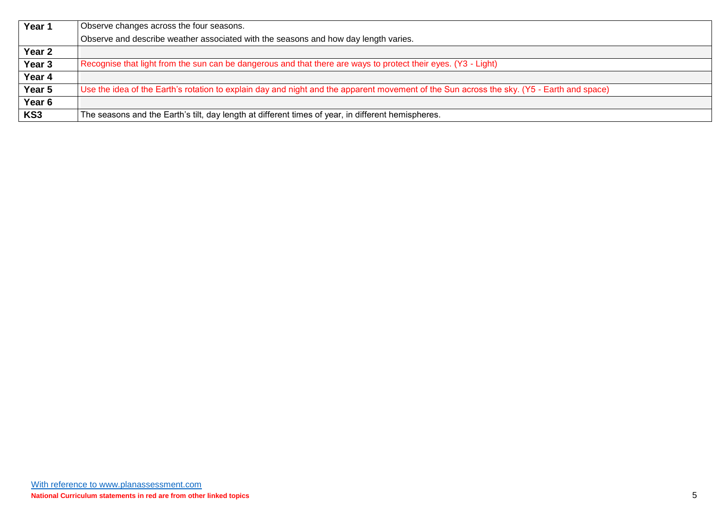| Year 1 | Observe changes across the four seasons.                                                                                                  |
|--------|-------------------------------------------------------------------------------------------------------------------------------------------|
|        | Observe and describe weather associated with the seasons and how day length varies.                                                       |
| Year 2 |                                                                                                                                           |
| Year 3 | Recognise that light from the sun can be dangerous and that there are ways to protect their eyes. (Y3 - Light)                            |
| Year 4 |                                                                                                                                           |
| Year 5 | Use the idea of the Earth's rotation to explain day and night and the apparent movement of the Sun across the sky. (Y5 - Earth and space) |
| Year 6 |                                                                                                                                           |
| KS3    | The seasons and the Earth's tilt, day length at different times of year, in different hemispheres.                                        |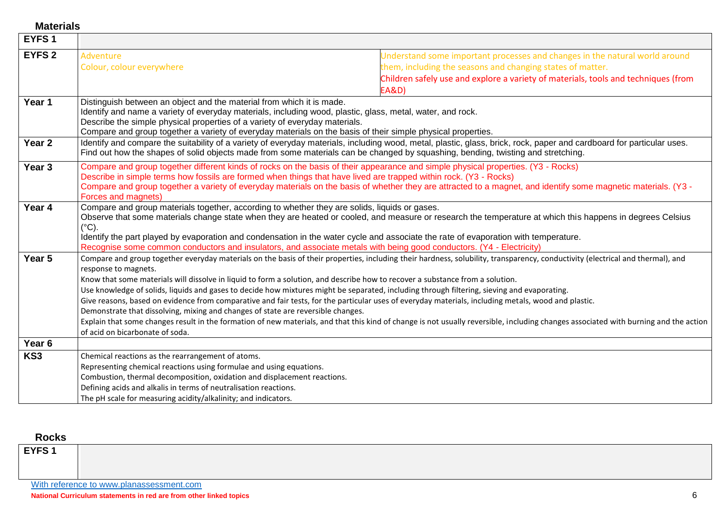**Materials** 

| EYFS <sub>1</sub> |                                                                                                                                                                                                                                                                                                                                                                                    |                                                                                                                                                                                                                                                                                                                                                                                                                                                                                                                                                                                                                                                                              |
|-------------------|------------------------------------------------------------------------------------------------------------------------------------------------------------------------------------------------------------------------------------------------------------------------------------------------------------------------------------------------------------------------------------|------------------------------------------------------------------------------------------------------------------------------------------------------------------------------------------------------------------------------------------------------------------------------------------------------------------------------------------------------------------------------------------------------------------------------------------------------------------------------------------------------------------------------------------------------------------------------------------------------------------------------------------------------------------------------|
| <b>EYFS 2</b>     | Adventure<br>Colour, colour everywhere                                                                                                                                                                                                                                                                                                                                             | Understand some important processes and changes in the natural world around<br>them, including the seasons and changing states of matter.<br>Children safely use and explore a variety of materials, tools and techniques (from<br><b>EA&amp;D)</b>                                                                                                                                                                                                                                                                                                                                                                                                                          |
| Year 1            | Distinguish between an object and the material from which it is made.<br>Identify and name a variety of everyday materials, including wood, plastic, glass, metal, water, and rock.<br>Describe the simple physical properties of a variety of everyday materials.<br>Compare and group together a variety of everyday materials on the basis of their simple physical properties. |                                                                                                                                                                                                                                                                                                                                                                                                                                                                                                                                                                                                                                                                              |
| Year <sub>2</sub> |                                                                                                                                                                                                                                                                                                                                                                                    | Identify and compare the suitability of a variety of everyday materials, including wood, metal, plastic, glass, brick, rock, paper and cardboard for particular uses.<br>Find out how the shapes of solid objects made from some materials can be changed by squashing, bending, twisting and stretching.                                                                                                                                                                                                                                                                                                                                                                    |
| Year <sub>3</sub> | Describe in simple terms how fossils are formed when things that have lived are trapped within rock. (Y3 - Rocks)<br>Forces and magnets)                                                                                                                                                                                                                                           | Compare and group together different kinds of rocks on the basis of their appearance and simple physical properties. (Y3 - Rocks)<br>Compare and group together a variety of everyday materials on the basis of whether they are attracted to a magnet, and identify some magnetic materials. (Y3 -                                                                                                                                                                                                                                                                                                                                                                          |
| Year 4            | Compare and group materials together, according to whether they are solids, liquids or gases.<br>$(^{\circ}C)$ .                                                                                                                                                                                                                                                                   | Observe that some materials change state when they are heated or cooled, and measure or research the temperature at which this happens in degrees Celsius<br>Identify the part played by evaporation and condensation in the water cycle and associate the rate of evaporation with temperature.<br>Recognise some common conductors and insulators, and associate metals with being good conductors. (Y4 - Electricity)                                                                                                                                                                                                                                                     |
| Year 5            | response to magnets.<br>Know that some materials will dissolve in liquid to form a solution, and describe how to recover a substance from a solution.<br>Demonstrate that dissolving, mixing and changes of state are reversible changes.<br>of acid on bicarbonate of soda.                                                                                                       | Compare and group together everyday materials on the basis of their properties, including their hardness, solubility, transparency, conductivity (electrical and thermal), and<br>Use knowledge of solids, liquids and gases to decide how mixtures might be separated, including through filtering, sieving and evaporating.<br>Give reasons, based on evidence from comparative and fair tests, for the particular uses of everyday materials, including metals, wood and plastic.<br>Explain that some changes result in the formation of new materials, and that this kind of change is not usually reversible, including changes associated with burning and the action |
| Year <sub>6</sub> |                                                                                                                                                                                                                                                                                                                                                                                    |                                                                                                                                                                                                                                                                                                                                                                                                                                                                                                                                                                                                                                                                              |
| KS <sub>3</sub>   | Chemical reactions as the rearrangement of atoms.<br>Representing chemical reactions using formulae and using equations.<br>Combustion, thermal decomposition, oxidation and displacement reactions.<br>Defining acids and alkalis in terms of neutralisation reactions.<br>The pH scale for measuring acidity/alkalinity; and indicators.                                         |                                                                                                                                                                                                                                                                                                                                                                                                                                                                                                                                                                                                                                                                              |

#### **Rocks**

| EYFS <sub>1</sub> |                                          |
|-------------------|------------------------------------------|
|                   | With reference to www.planassessment.com |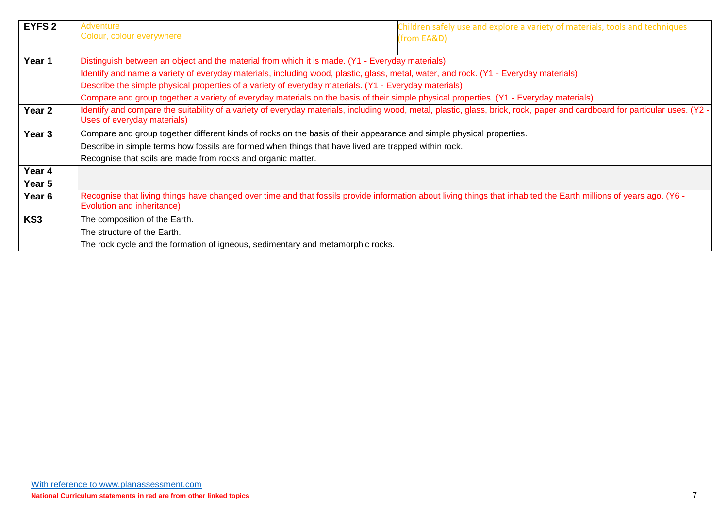| <b>EYFS 2</b>   | <b>Adventure</b>                                                                                                                                                                                 | Children safely use and explore a variety of materials, tools and techniques                                                                                                |  |
|-----------------|--------------------------------------------------------------------------------------------------------------------------------------------------------------------------------------------------|-----------------------------------------------------------------------------------------------------------------------------------------------------------------------------|--|
|                 | Colour, colour everywhere                                                                                                                                                                        | (from EA&D)                                                                                                                                                                 |  |
| Year 1          | Distinguish between an object and the material from which it is made. (Y1 - Everyday materials)                                                                                                  |                                                                                                                                                                             |  |
|                 | Identify and name a variety of everyday materials, including wood, plastic, glass, metal, water, and rock. (Y1 - Everyday materials)                                                             |                                                                                                                                                                             |  |
|                 |                                                                                                                                                                                                  |                                                                                                                                                                             |  |
|                 | Describe the simple physical properties of a variety of everyday materials. (Y1 - Everyday materials)                                                                                            |                                                                                                                                                                             |  |
|                 | Compare and group together a variety of everyday materials on the basis of their simple physical properties. (Y1 - Everyday materials)                                                           |                                                                                                                                                                             |  |
| Year 2          | Uses of everyday materials)                                                                                                                                                                      | Identify and compare the suitability of a variety of everyday materials, including wood, metal, plastic, glass, brick, rock, paper and cardboard for particular uses. (Y2 - |  |
| Year 3          | Compare and group together different kinds of rocks on the basis of their appearance and simple physical properties.                                                                             |                                                                                                                                                                             |  |
|                 | Describe in simple terms how fossils are formed when things that have lived are trapped within rock.                                                                                             |                                                                                                                                                                             |  |
|                 | Recognise that soils are made from rocks and organic matter.                                                                                                                                     |                                                                                                                                                                             |  |
| Year 4          |                                                                                                                                                                                                  |                                                                                                                                                                             |  |
| Year 5          |                                                                                                                                                                                                  |                                                                                                                                                                             |  |
| Year 6          | Recognise that living things have changed over time and that fossils provide information about living things that inhabited the Earth millions of years ago. (Y6 -<br>Evolution and inheritance) |                                                                                                                                                                             |  |
| KS <sub>3</sub> | The composition of the Earth.                                                                                                                                                                    |                                                                                                                                                                             |  |
|                 | The structure of the Earth.                                                                                                                                                                      |                                                                                                                                                                             |  |
|                 | The rock cycle and the formation of igneous, sedimentary and metamorphic rocks.                                                                                                                  |                                                                                                                                                                             |  |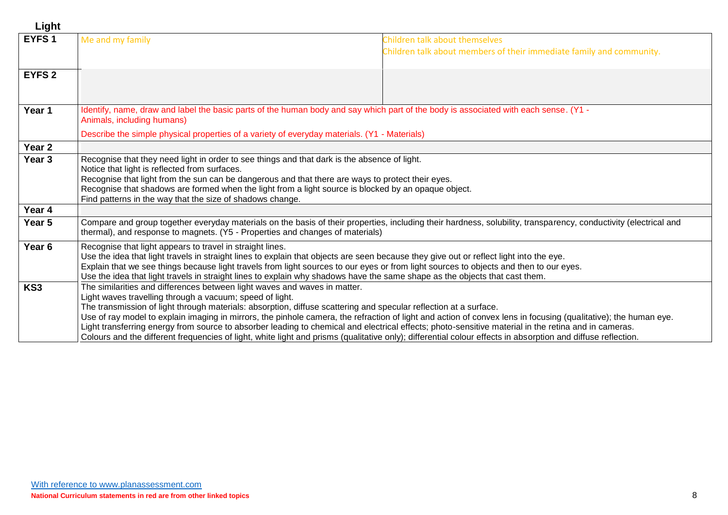| Light             |                                                                                                                                                                                                                                                                                                                                                                                                                                                                                                                                                                                                                                                                                                                                                       |                                                                                                        |
|-------------------|-------------------------------------------------------------------------------------------------------------------------------------------------------------------------------------------------------------------------------------------------------------------------------------------------------------------------------------------------------------------------------------------------------------------------------------------------------------------------------------------------------------------------------------------------------------------------------------------------------------------------------------------------------------------------------------------------------------------------------------------------------|--------------------------------------------------------------------------------------------------------|
| EYFS <sub>1</sub> | Me and my family                                                                                                                                                                                                                                                                                                                                                                                                                                                                                                                                                                                                                                                                                                                                      | Children talk about themselves<br>Children talk about members of their immediate family and community. |
| <b>EYFS 2</b>     |                                                                                                                                                                                                                                                                                                                                                                                                                                                                                                                                                                                                                                                                                                                                                       |                                                                                                        |
| Year 1            | ldentify, name, draw and label the basic parts of the human body and say which part of the body is associated with each sense. (Y1 -<br>Animals, including humans)                                                                                                                                                                                                                                                                                                                                                                                                                                                                                                                                                                                    |                                                                                                        |
|                   | Describe the simple physical properties of a variety of everyday materials. (Y1 - Materials)                                                                                                                                                                                                                                                                                                                                                                                                                                                                                                                                                                                                                                                          |                                                                                                        |
| Year 2            |                                                                                                                                                                                                                                                                                                                                                                                                                                                                                                                                                                                                                                                                                                                                                       |                                                                                                        |
| Year <sub>3</sub> | Recognise that they need light in order to see things and that dark is the absence of light.<br>Notice that light is reflected from surfaces.<br>Recognise that light from the sun can be dangerous and that there are ways to protect their eyes.<br>Recognise that shadows are formed when the light from a light source is blocked by an opaque object.<br>Find patterns in the way that the size of shadows change.                                                                                                                                                                                                                                                                                                                               |                                                                                                        |
| Year 4            |                                                                                                                                                                                                                                                                                                                                                                                                                                                                                                                                                                                                                                                                                                                                                       |                                                                                                        |
| Year 5            | Compare and group together everyday materials on the basis of their properties, including their hardness, solubility, transparency, conductivity (electrical and<br>thermal), and response to magnets. (Y5 - Properties and changes of materials)                                                                                                                                                                                                                                                                                                                                                                                                                                                                                                     |                                                                                                        |
| Year 6            | Recognise that light appears to travel in straight lines.<br>Use the idea that light travels in straight lines to explain that objects are seen because they give out or reflect light into the eye.<br>Explain that we see things because light travels from light sources to our eyes or from light sources to objects and then to our eyes.<br>Use the idea that light travels in straight lines to explain why shadows have the same shape as the objects that cast them.                                                                                                                                                                                                                                                                         |                                                                                                        |
| KS3               | The similarities and differences between light waves and waves in matter.<br>Light waves travelling through a vacuum; speed of light.<br>The transmission of light through materials: absorption, diffuse scattering and specular reflection at a surface.<br>Use of ray model to explain imaging in mirrors, the pinhole camera, the refraction of light and action of convex lens in focusing (qualitative); the human eye.<br>Light transferring energy from source to absorber leading to chemical and electrical effects; photo-sensitive material in the retina and in cameras.<br>Colours and the different frequencies of light, white light and prisms (qualitative only); differential colour effects in absorption and diffuse reflection. |                                                                                                        |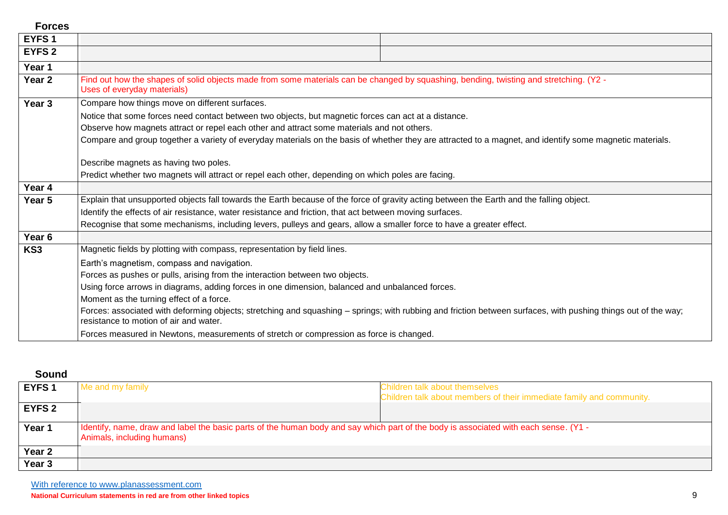| <b>Forces</b>     |                                                                                                                                                                                                          |  |  |
|-------------------|----------------------------------------------------------------------------------------------------------------------------------------------------------------------------------------------------------|--|--|
| EYFS <sub>1</sub> |                                                                                                                                                                                                          |  |  |
| <b>EYFS 2</b>     |                                                                                                                                                                                                          |  |  |
| Year 1            |                                                                                                                                                                                                          |  |  |
| Year 2            | Find out how the shapes of solid objects made from some materials can be changed by squashing, bending, twisting and stretching. (Y2 -<br>Uses of everyday materials)                                    |  |  |
| Year 3            | Compare how things move on different surfaces.                                                                                                                                                           |  |  |
|                   | Notice that some forces need contact between two objects, but magnetic forces can act at a distance.                                                                                                     |  |  |
|                   | Observe how magnets attract or repel each other and attract some materials and not others.                                                                                                               |  |  |
|                   | Compare and group together a variety of everyday materials on the basis of whether they are attracted to a magnet, and identify some magnetic materials.                                                 |  |  |
|                   |                                                                                                                                                                                                          |  |  |
|                   | Describe magnets as having two poles.                                                                                                                                                                    |  |  |
|                   | Predict whether two magnets will attract or repel each other, depending on which poles are facing.                                                                                                       |  |  |
| Year 4            |                                                                                                                                                                                                          |  |  |
| Year 5            | Explain that unsupported objects fall towards the Earth because of the force of gravity acting between the Earth and the falling object.                                                                 |  |  |
|                   | Identify the effects of air resistance, water resistance and friction, that act between moving surfaces.                                                                                                 |  |  |
|                   | Recognise that some mechanisms, including levers, pulleys and gears, allow a smaller force to have a greater effect.                                                                                     |  |  |
| Year 6            |                                                                                                                                                                                                          |  |  |
| KS <sub>3</sub>   | Magnetic fields by plotting with compass, representation by field lines.                                                                                                                                 |  |  |
|                   | Earth's magnetism, compass and navigation.                                                                                                                                                               |  |  |
|                   | Forces as pushes or pulls, arising from the interaction between two objects.                                                                                                                             |  |  |
|                   | Using force arrows in diagrams, adding forces in one dimension, balanced and unbalanced forces.                                                                                                          |  |  |
|                   | Moment as the turning effect of a force.                                                                                                                                                                 |  |  |
|                   | Forces: associated with deforming objects; stretching and squashing - springs; with rubbing and friction between surfaces, with pushing things out of the way;<br>resistance to motion of air and water. |  |  |
|                   | Forces measured in Newtons, measurements of stretch or compression as force is changed.                                                                                                                  |  |  |

## **Sound**

| Me and my family                                                                                                                                                   | Children talk about themselves<br>Children talk about members of their immediate family and community. |
|--------------------------------------------------------------------------------------------------------------------------------------------------------------------|--------------------------------------------------------------------------------------------------------|
|                                                                                                                                                                    |                                                                                                        |
|                                                                                                                                                                    |                                                                                                        |
|                                                                                                                                                                    |                                                                                                        |
| Identify, name, draw and label the basic parts of the human body and say which part of the body is associated with each sense. (Y1 -<br>Animals, including humans) |                                                                                                        |
|                                                                                                                                                                    |                                                                                                        |
|                                                                                                                                                                    |                                                                                                        |
|                                                                                                                                                                    |                                                                                                        |

With reference to www.planassessment.com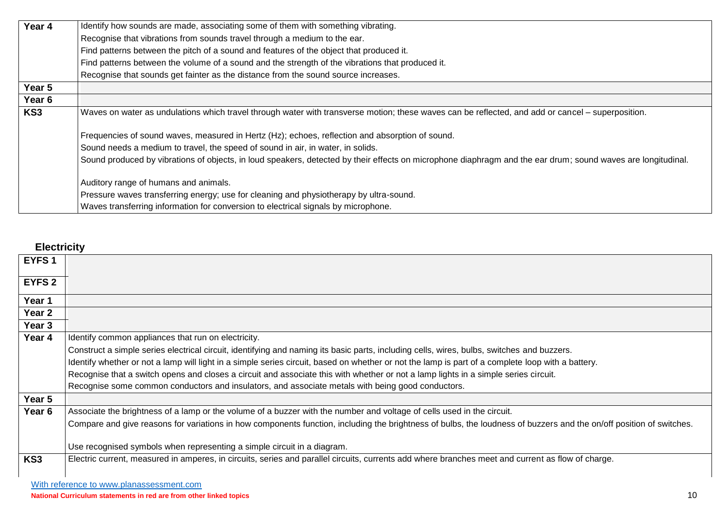| Year 4 | Identify how sounds are made, associating some of them with something vibrating.                                                                             |  |  |
|--------|--------------------------------------------------------------------------------------------------------------------------------------------------------------|--|--|
|        | Recognise that vibrations from sounds travel through a medium to the ear.                                                                                    |  |  |
|        | Find patterns between the pitch of a sound and features of the object that produced it.                                                                      |  |  |
|        | Find patterns between the volume of a sound and the strength of the vibrations that produced it.                                                             |  |  |
|        | Recognise that sounds get fainter as the distance from the sound source increases.                                                                           |  |  |
| Year 5 |                                                                                                                                                              |  |  |
| Year 6 |                                                                                                                                                              |  |  |
| KS3    | Waves on water as undulations which travel through water with transverse motion; these waves can be reflected, and add or cancel – superposition.            |  |  |
|        | Frequencies of sound waves, measured in Hertz (Hz); echoes, reflection and absorption of sound.                                                              |  |  |
|        | Sound needs a medium to travel, the speed of sound in air, in water, in solids.                                                                              |  |  |
|        | Sound produced by vibrations of objects, in loud speakers, detected by their effects on microphone diaphragm and the ear drum; sound waves are longitudinal. |  |  |
|        | Auditory range of humans and animals.                                                                                                                        |  |  |
|        | Pressure waves transferring energy; use for cleaning and physiotherapy by ultra-sound.                                                                       |  |  |
|        | Waves transferring information for conversion to electrical signals by microphone.                                                                           |  |  |

## **Electricity**

| EYFS <sub>1</sub> |                                                                                                                                                                     |  |  |
|-------------------|---------------------------------------------------------------------------------------------------------------------------------------------------------------------|--|--|
| <b>EYFS 2</b>     |                                                                                                                                                                     |  |  |
| Year 1            |                                                                                                                                                                     |  |  |
| Year 2            |                                                                                                                                                                     |  |  |
| Year <sub>3</sub> |                                                                                                                                                                     |  |  |
| Year 4            | Identify common appliances that run on electricity.                                                                                                                 |  |  |
|                   | Construct a simple series electrical circuit, identifying and naming its basic parts, including cells, wires, bulbs, switches and buzzers.                          |  |  |
|                   | Identify whether or not a lamp will light in a simple series circuit, based on whether or not the lamp is part of a complete loop with a battery.                   |  |  |
|                   | Recognise that a switch opens and closes a circuit and associate this with whether or not a lamp lights in a simple series circuit.                                 |  |  |
|                   | Recognise some common conductors and insulators, and associate metals with being good conductors.                                                                   |  |  |
| Year 5            |                                                                                                                                                                     |  |  |
| Year 6            | Associate the brightness of a lamp or the volume of a buzzer with the number and voltage of cells used in the circuit.                                              |  |  |
|                   | Compare and give reasons for variations in how components function, including the brightness of bulbs, the loudness of buzzers and the on/off position of switches. |  |  |
|                   |                                                                                                                                                                     |  |  |
|                   | Use recognised symbols when representing a simple circuit in a diagram.                                                                                             |  |  |
| KS3               | Electric current, measured in amperes, in circuits, series and parallel circuits, currents add where branches meet and current as flow of charge.                   |  |  |
|                   |                                                                                                                                                                     |  |  |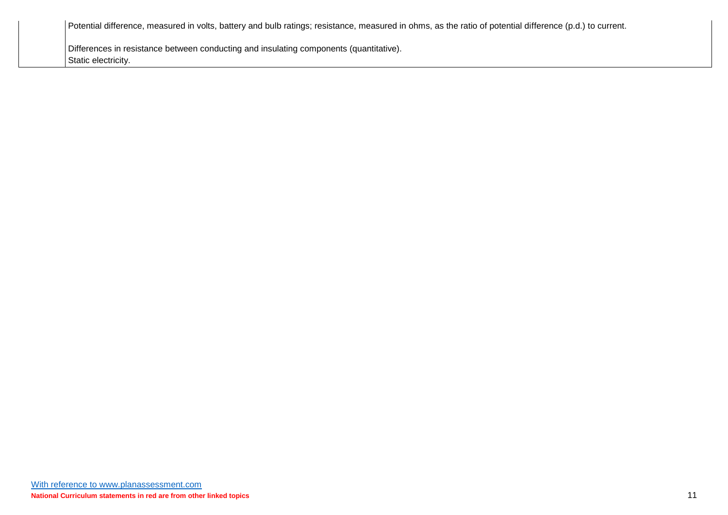Potential difference, measured in volts, battery and bulb ratings; resistance, measured in ohms, as the ratio of potential difference (p.d.) to current.

Differences in resistance between conducting and insulating components (quantitative). Static electricity.